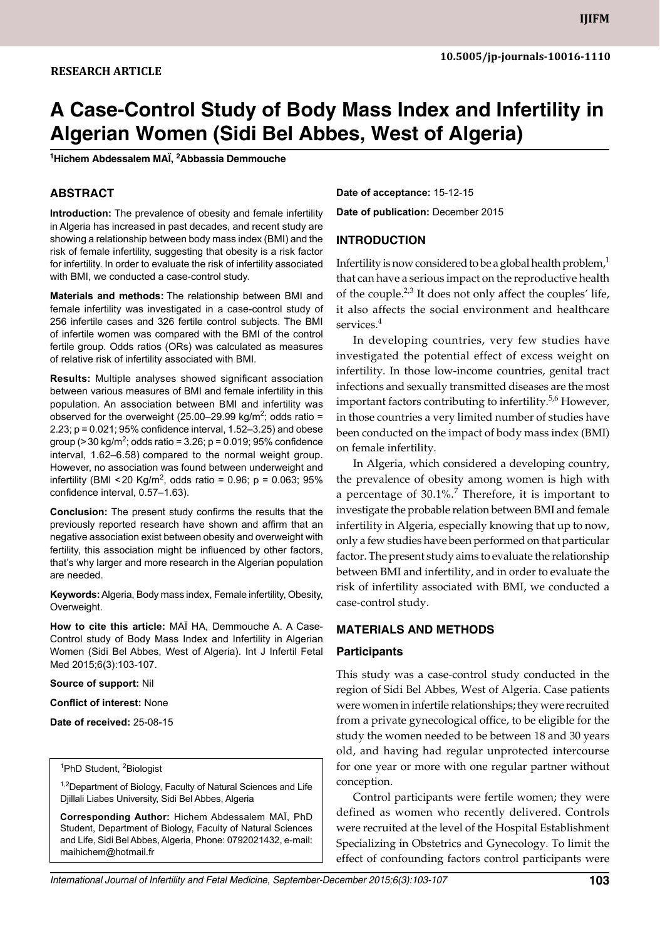# **A Case-Control study of Body Mass Index and Infertility in Algerian Women (Sidi Bel Abbes, West of Algeria)**

**1 Hichem Abdessalem MAÏ, 2 Abbassia Demmouche**

# **ABSTRACT**

**Introduction:** The prevalence of obesity and female infertility in Algeria has increased in past decades, and recent study are showing a relationship between body mass index (BMI) and the risk of female infertility, suggesting that obesity is a risk factor for infertility. In order to evaluate the risk of infertility associated with BMI, we conducted a case-control study.

**Materials and methods:** The relationship between BMI and female infertility was investigated in a case-control study of 256 infertile cases and 326 fertile control subjects. The BMI of infertile women was compared with the BMI of the control fertile group. Odds ratios (ORs) was calculated as measures of relative risk of infertility associated with BMI.

**Results:** Multiple analyses showed significant association between various measures of BMI and female infertility in this population. An association between BMI and infertility was observed for the overweight (25.00–29.99 kg/m<sup>2</sup>; odds ratio = 2.23; p = 0.021; 95% confidence interval, 1.52–3.25) and obese group (> 30 kg/m<sup>2</sup>; odds ratio = 3.26; p = 0.019; 95% confidence interval, 1.62–6.58) compared to the normal weight group. However, no association was found between underweight and infertility (BMI <20 Kg/m<sup>2</sup>, odds ratio = 0.96; p = 0.063; 95% confidence interval, 0.57–1.63).

**Conclusion:** The present study confirms the results that the previously reported research have shown and affirm that an negative association exist between obesity and overweight with fertility, this association might be influenced by other factors, that's why larger and more research in the Algerian population are needed.

**Keywords:** Algeria, Body mass index, Female infertility, Obesity, Overweight.

**How to cite this article:** MAÏ HA, Demmouche A. A Case-Control study of Body Mass Index and Infertility in Algerian Women (Sidi Bel Abbes, West of Algeria). Int J Infertil Fetal Med 2015;6(3):103-107.

**Source of support:** Nil

**Conflict of interest:** None

**Date of received:** 25-08-15

#### <sup>1</sup>PhD Student, <sup>2</sup>Biologist

<sup>1,2</sup>Department of Biology, Faculty of Natural Sciences and Life Djillali Liabes University, Sidi Bel Abbes, Algeria

**Corresponding Author:** Hichem Abdessalem MAÏ, PhD Student, Department of Biology, Faculty of Natural Sciences and Life, Sidi Bel Abbes, Algeria, Phone: 0792021432, e-mail: maihichem@hotmail.fr

**Date of acceptance:** 15-12-15 **Date of publication:** December 2015

## **Introduction**

Infertility is now considered to be a global health problem, $<sup>1</sup>$ </sup> that can have a serious impact on the reproductive health of the couple. $2,3$  It does not only affect the couples' life, it also affects the social environment and healthcare services.<sup>4</sup>

In developing countries, very few studies have investigated the potential effect of excess weight on infertility. In those low-income countries, genital tract infections and sexually transmitted diseases are the most important factors contributing to infertility.<sup>5,6</sup> However, in those countries a very limited number of studies have been conducted on the impact of body mass index (BMI) on female infertility.

In Algeria, which considered a developing country, the prevalence of obesity among women is high with a percentage of  $30.1\%$ .<sup>7</sup> Therefore, it is important to investigate the probable relation between BMI and female infertility in Algeria, especially knowing that up to now, only a few studies have been performed on that particular factor. The present study aims to evaluate the relationship between BMI and infertility, and in order to evaluate the risk of infertility associated with BMI, we conducted a case-control study.

## **Materials and Methods**

#### **Participants**

This study was a case-control study conducted in the region of Sidi Bel Abbes, West of Algeria. Case patients were women in infertile relationships; they were recruited from a private gynecological office, to be eligible for the study the women needed to be between 18 and 30 years old, and having had regular unprotected intercourse for one year or more with one regular partner without conception.

Control participants were fertile women; they were defined as women who recently delivered. Controls were recruited at the level of the Hospital Establishment Specializing in Obstetrics and Gynecology. To limit the effect of confounding factors control participants were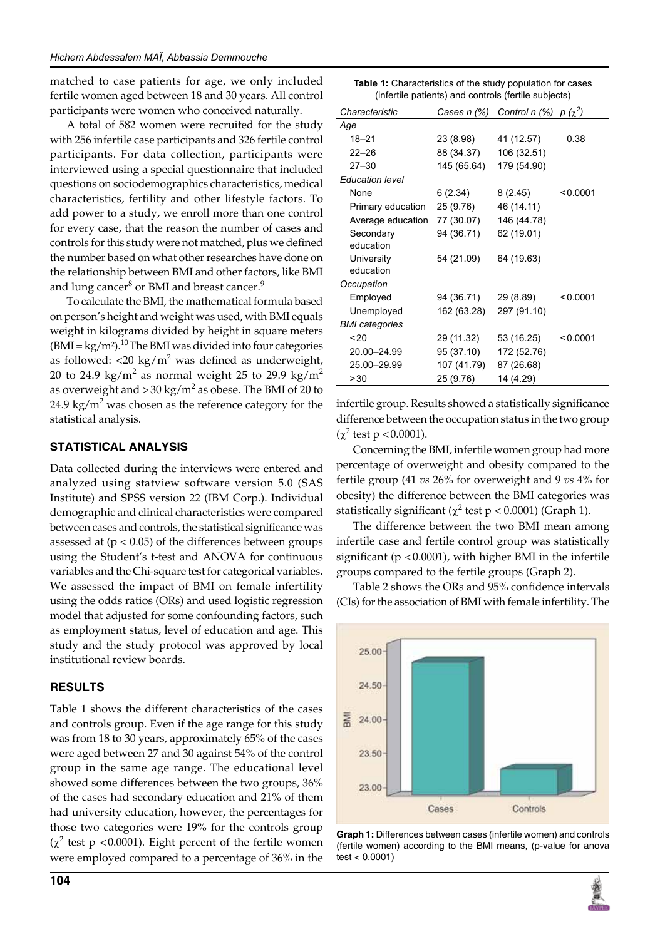matched to case patients for age, we only included fertile women aged between 18 and 30 years. All control participants were women who conceived naturally.

A total of 582 women were recruited for the study with 256 infertile case participants and 326 fertile control participants. For data collection, participants were interviewed using a special questionnaire that included questions on sociodemographics characteristics, medical characteristics, fertility and other lifestyle factors. To add power to a study, we enroll more than one control for every case, that the reason the number of cases and controls for this study were not matched, plus we defined the number based on what other researches have done on the relationship between BMI and other factors, like BMI and lung cancer $^8$  or BMI and breast cancer. $^9$ 

To calculate the BMI, the mathematical formula based on person's height and weight was used, with BMI equals weight in kilograms divided by height in square meters  $(BMI = kg/m<sup>2</sup>)<sup>10</sup>$  The BMI was divided into four categories as followed:  $\langle 20 \text{ kg/m}^2 \text{ was defined as underweight,} \rangle$ 20 to 24.9 kg/m $^2$  as normal weight 25 to 29.9 kg/m $^2$ as overweight and  $>$  30 kg/m<sup>2</sup> as obese. The BMI of 20 to 24.9 kg/ $m^2$  was chosen as the reference category for the statistical analysis.

## **Statistical Analysis**

Data collected during the interviews were entered and analyzed using statview software version 5.0 (SAS Institute) and SPSS version 22 (IBM Corp.). Individual demographic and clinical characteristics were compared between cases and controls, the statistical significance was assessed at  $(p < 0.05)$  of the differences between groups using the Student's t-test and ANOVA for continuous variables and the Chi-square test for categorical variables. We assessed the impact of BMI on female infertility using the odds ratios (ORs) and used logistic regression model that adjusted for some confounding factors, such as employment status, level of education and age. This study and the study protocol was approved by local institutional review boards.

# **Results**

Table 1 shows the different characteristics of the cases and controls group. Even if the age range for this study was from 18 to 30 years, approximately 65% of the cases were aged between 27 and 30 against 54% of the control group in the same age range. The educational level showed some differences between the two groups, 36% of the cases had secondary education and 21% of them had university education, however, the percentages for those two categories were 19% for the controls group  $(\chi^2$  test p <0.0001). Eight percent of the fertile women were employed compared to a percentage of 36% in the

| <b>Table 1:</b> Characteristics of the study population for cases |
|-------------------------------------------------------------------|
| (infertile patients) and controls (fertile subjects)              |

| Characteristic<br>Cases n $(\%)$ Control n $(\%)$ p $(\chi^2)$<br>Age<br>$18 - 21$<br>23 (8.98)<br>41 (12.57)<br>0.38<br>88 (34.37)<br>$22 - 26$<br>106 (32.51)<br>145 (65.64)<br>179 (54.90)<br>$27 - 30$<br><b>Education level</b><br>None<br>6(2.34)<br>8 (2.45)<br>< 0.0001<br>25 (9.76)<br>46 (14.11)<br>Primary education<br>Average education 77 (30.07)<br>146 (44.78)<br>94 (36.71)<br>62 (19.01)<br>Secondary<br>education<br><b>University</b><br>54 (21.09)<br>64 (19.63)<br>education<br>Occupation<br>29 (8.89)<br>Employed<br>94 (36.71)<br>< 0.0001<br>297 (91.10)<br>Unemployed<br>162 (63.28)<br><b>BMI</b> categories<br>~120<br>29 (11.32)<br>53 (16.25)<br>< 0.0001<br>95 (37.10)<br>20.00-24.99<br>172 (52.76)<br>25.00-29.99<br>107 (41.79)<br>87 (26.68)<br>> 30 |           | $\frac{1}{2}$ $\frac{1}{2}$ $\frac{1}{2}$ $\frac{1}{2}$ $\frac{1}{2}$ $\frac{1}{2}$ $\frac{1}{2}$ $\frac{1}{2}$ $\frac{1}{2}$ $\frac{1}{2}$ $\frac{1}{2}$ $\frac{1}{2}$ $\frac{1}{2}$ $\frac{1}{2}$ $\frac{1}{2}$ $\frac{1}{2}$ $\frac{1}{2}$ $\frac{1}{2}$ $\frac{1}{2}$ $\frac{1}{2}$ $\frac{1}{2}$ $\frac{1}{2}$ |  |
|------------------------------------------------------------------------------------------------------------------------------------------------------------------------------------------------------------------------------------------------------------------------------------------------------------------------------------------------------------------------------------------------------------------------------------------------------------------------------------------------------------------------------------------------------------------------------------------------------------------------------------------------------------------------------------------------------------------------------------------------------------------------------------------|-----------|---------------------------------------------------------------------------------------------------------------------------------------------------------------------------------------------------------------------------------------------------------------------------------------------------------------------|--|
|                                                                                                                                                                                                                                                                                                                                                                                                                                                                                                                                                                                                                                                                                                                                                                                          |           |                                                                                                                                                                                                                                                                                                                     |  |
|                                                                                                                                                                                                                                                                                                                                                                                                                                                                                                                                                                                                                                                                                                                                                                                          |           |                                                                                                                                                                                                                                                                                                                     |  |
|                                                                                                                                                                                                                                                                                                                                                                                                                                                                                                                                                                                                                                                                                                                                                                                          |           |                                                                                                                                                                                                                                                                                                                     |  |
|                                                                                                                                                                                                                                                                                                                                                                                                                                                                                                                                                                                                                                                                                                                                                                                          |           |                                                                                                                                                                                                                                                                                                                     |  |
|                                                                                                                                                                                                                                                                                                                                                                                                                                                                                                                                                                                                                                                                                                                                                                                          |           |                                                                                                                                                                                                                                                                                                                     |  |
|                                                                                                                                                                                                                                                                                                                                                                                                                                                                                                                                                                                                                                                                                                                                                                                          |           |                                                                                                                                                                                                                                                                                                                     |  |
|                                                                                                                                                                                                                                                                                                                                                                                                                                                                                                                                                                                                                                                                                                                                                                                          |           |                                                                                                                                                                                                                                                                                                                     |  |
|                                                                                                                                                                                                                                                                                                                                                                                                                                                                                                                                                                                                                                                                                                                                                                                          |           |                                                                                                                                                                                                                                                                                                                     |  |
|                                                                                                                                                                                                                                                                                                                                                                                                                                                                                                                                                                                                                                                                                                                                                                                          |           |                                                                                                                                                                                                                                                                                                                     |  |
|                                                                                                                                                                                                                                                                                                                                                                                                                                                                                                                                                                                                                                                                                                                                                                                          |           |                                                                                                                                                                                                                                                                                                                     |  |
|                                                                                                                                                                                                                                                                                                                                                                                                                                                                                                                                                                                                                                                                                                                                                                                          |           |                                                                                                                                                                                                                                                                                                                     |  |
|                                                                                                                                                                                                                                                                                                                                                                                                                                                                                                                                                                                                                                                                                                                                                                                          |           |                                                                                                                                                                                                                                                                                                                     |  |
|                                                                                                                                                                                                                                                                                                                                                                                                                                                                                                                                                                                                                                                                                                                                                                                          |           |                                                                                                                                                                                                                                                                                                                     |  |
|                                                                                                                                                                                                                                                                                                                                                                                                                                                                                                                                                                                                                                                                                                                                                                                          |           |                                                                                                                                                                                                                                                                                                                     |  |
|                                                                                                                                                                                                                                                                                                                                                                                                                                                                                                                                                                                                                                                                                                                                                                                          |           |                                                                                                                                                                                                                                                                                                                     |  |
|                                                                                                                                                                                                                                                                                                                                                                                                                                                                                                                                                                                                                                                                                                                                                                                          |           |                                                                                                                                                                                                                                                                                                                     |  |
|                                                                                                                                                                                                                                                                                                                                                                                                                                                                                                                                                                                                                                                                                                                                                                                          |           |                                                                                                                                                                                                                                                                                                                     |  |
|                                                                                                                                                                                                                                                                                                                                                                                                                                                                                                                                                                                                                                                                                                                                                                                          |           |                                                                                                                                                                                                                                                                                                                     |  |
|                                                                                                                                                                                                                                                                                                                                                                                                                                                                                                                                                                                                                                                                                                                                                                                          |           |                                                                                                                                                                                                                                                                                                                     |  |
|                                                                                                                                                                                                                                                                                                                                                                                                                                                                                                                                                                                                                                                                                                                                                                                          |           |                                                                                                                                                                                                                                                                                                                     |  |
|                                                                                                                                                                                                                                                                                                                                                                                                                                                                                                                                                                                                                                                                                                                                                                                          | 25 (9.76) | 14 (4.29)                                                                                                                                                                                                                                                                                                           |  |

infertile group. Results showed a statistically significance difference between the occupation status in the two group  $(\chi^2 \text{ test p} < 0.0001).$ 

Concerning the BMI, infertile women group had more percentage of overweight and obesity compared to the fertile group (41 *vs* 26% for overweight and 9 *vs* 4% for obesity) the difference between the BMI categories was statistically significant ( $\chi^2$  test p < 0.0001) (Graph 1).

The difference between the two BMI mean among infertile case and fertile control group was statistically significant ( $p < 0.0001$ ), with higher BMI in the infertile groups compared to the fertile groups (Graph 2).

Table 2 shows the ORs and 95% confidence intervals (CIs) for the association of BMI with female infertility. The



**Graph 1:** Differences between cases (infertile women) and controls (fertile women) according to the BMI means, (p-value for anova test < 0.0001)

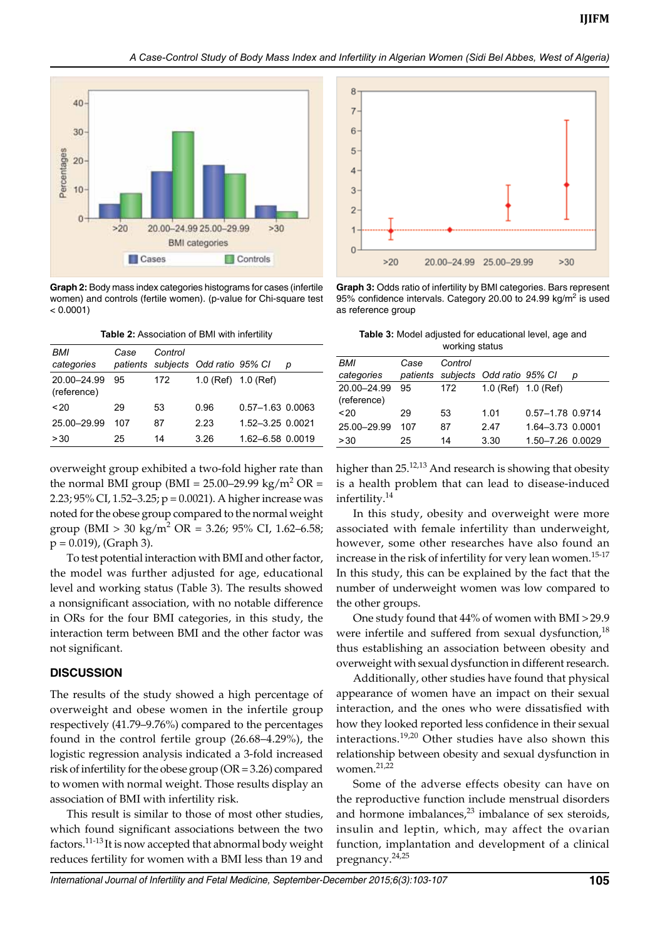#### *A Case-Control Study of Body Mass Index and Infertility in Algerian Women (Sidi Bel Abbes, West of Algeria)*



**Graph 2:** Body mass index categories histograms for cases (infertile women) and controls (fertile women). (p-value for Chi-square test  $< 0.0001$ )

| <b>Table 2: Association of BMI with infertility</b> |  |  |
|-----------------------------------------------------|--|--|
|                                                     |  |  |

| BMI<br>categories          | Case | Control | patients subjects Odd ratio 95% CI |                  | D |
|----------------------------|------|---------|------------------------------------|------------------|---|
| 20.00-24.99<br>(reference) | 95   | 172     | $1.0$ (Ref) $1.0$ (Ref)            |                  |   |
| ~120                       | 29   | 53      | 0.96                               | 0.57-1.63 0.0063 |   |
| 25.00-29.99                | 107  | 87      | 2.23                               | 1.52-3.25 0.0021 |   |
| > 30                       | 25   | 14      | 3.26                               | 1.62-6.58 0.0019 |   |

overweight group exhibited a two-fold higher rate than the normal BMI group (BMI =  $25.00-29.99$  kg/m<sup>2</sup> OR = 2.23; 95% CI, 1.52–3.25; p = 0.0021). A higher increase was noted for the obese group compared to the normal weight group (BMI > 30 kg/m<sup>2</sup> OR = 3.26; 95% CI, 1.62–6.58;  $p = 0.019$ , (Graph 3).

To test potential interaction with BMI and other factor, the model was further adjusted for age, educational level and working status (Table 3). The results showed a nonsignificant association, with no notable difference in ORs for the four BMI categories, in this study, the interaction term between BMI and the other factor was not significant.

#### **Discussion**

The results of the study showed a high percentage of overweight and obese women in the infertile group respectively (41.79–9.76%) compared to the percentages found in the control fertile group (26.68–4.29%), the logistic regression analysis indicated a 3-fold increased risk of infertility for the obese group (OR = 3.26) compared to women with normal weight. Those results display an association of BMI with infertility risk.

This result is similar to those of most other studies, which found significant associations between the two factors.11-13 It is now accepted that abnormal body weight reduces fertility for women with a BMI less than 19 and



**Graph 3:** Odds ratio of infertility by BMI categories. Bars represent 95% confidence intervals. Category 20.00 to 24.99 kg/m<sup>2</sup> is used as reference group

**Table 3:** Model adjusted for educational level, age and working status

|                            |      | $\cdots$ |                                    |                  |   |
|----------------------------|------|----------|------------------------------------|------------------|---|
| <b>BMI</b>                 | Case | Control  |                                    |                  |   |
| categories                 |      |          | patients subjects Odd ratio 95% CI |                  | D |
| 20.00-24.99<br>(reference) | 95   | 172      | $1.0$ (Ref) $1.0$ (Ref)            |                  |   |
| ~120                       | 29   | 53       | 1.01                               | 0.57-1.78 0.9714 |   |
| 25.00-29.99                | 107  | 87       | 2.47                               | 1.64-3.73 0.0001 |   |
| > 30                       | 25   | 14       | 3.30                               | 1.50-7.26 0.0029 |   |

higher than 25.<sup>12,13</sup> And research is showing that obesity is a health problem that can lead to disease-induced infertility.<sup>14</sup>

In this study, obesity and overweight were more associated with female infertility than underweight, however, some other researches have also found an increase in the risk of infertility for very lean women.<sup>15-17</sup> In this study, this can be explained by the fact that the number of underweight women was low compared to the other groups.

One study found that 44% of women with BMI >29.9 were infertile and suffered from sexual dysfunction, $18$ thus establishing an association between obesity and overweight with sexual dysfunction in different research.

Additionally, other studies have found that physical appearance of women have an impact on their sexual interaction, and the ones who were dissatisfied with how they looked reported less confidence in their sexual interactions.19,20 Other studies have also shown this relationship between obesity and sexual dysfunction in women. $^{21,22}$ 

Some of the adverse effects obesity can have on the reproductive function include menstrual disorders and hormone imbalances, $23$  imbalance of sex steroids, insulin and leptin, which, may affect the ovarian function, implantation and development of a clinical pregnancy.<sup>24,25</sup>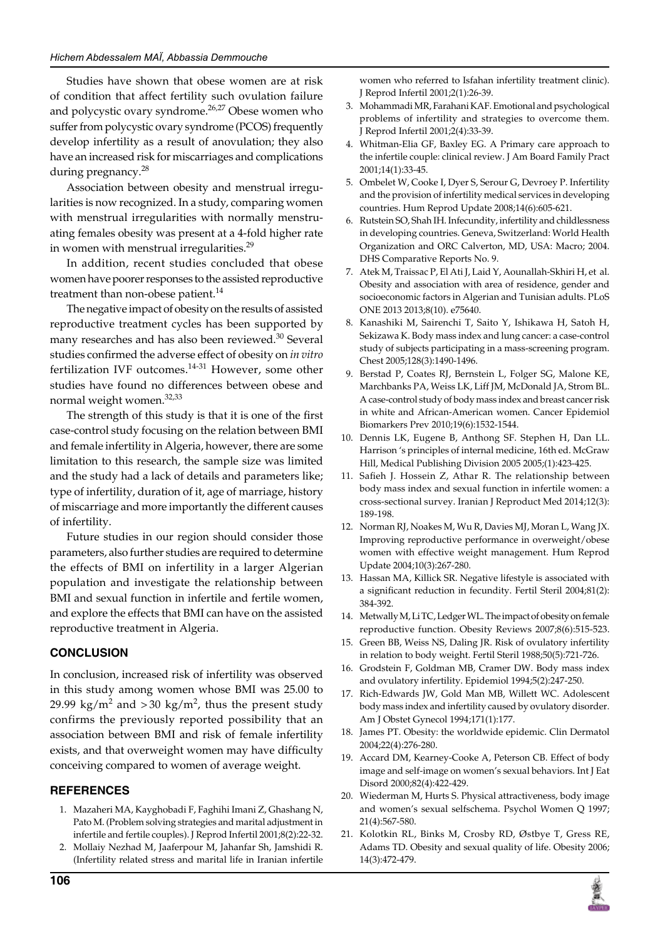Studies have shown that obese women are at risk of condition that affect fertility such ovulation failure and polycystic ovary syndrome.<sup>26,27</sup> Obese women who suffer from polycystic ovary syndrome (PCOS) frequently develop infertility as a result of anovulation; they also have an increased risk for miscarriages and complications during pregnancy.<sup>28</sup>

Association between obesity and menstrual irregularities is now recognized. In a study, comparing women with menstrual irregularities with normally menstruating females obesity was present at a 4-fold higher rate in women with menstrual irregularities.<sup>29</sup>

In addition, recent studies concluded that obese women have poorer responses to the assisted reproductive treatment than non-obese patient.<sup>14</sup>

The negative impact of obesity on the results of assisted reproductive treatment cycles has been supported by many researches and has also been reviewed.<sup>30</sup> Several studies confirmed the adverse effect of obesity on *in vitro* fertilization IVF outcomes.<sup>14-31</sup> However, some other studies have found no differences between obese and normal weight women.<sup>32,33</sup>

The strength of this study is that it is one of the first case-control study focusing on the relation between BMI and female infertility in Algeria, however, there are some limitation to this research, the sample size was limited and the study had a lack of details and parameters like; type of infertility, duration of it, age of marriage, history of miscarriage and more importantly the different causes of infertility.

Future studies in our region should consider those parameters, also further studies are required to determine the effects of BMI on infertility in a larger Algerian population and investigate the relationship between BMI and sexual function in infertile and fertile women, and explore the effects that BMI can have on the assisted reproductive treatment in Algeria.

## **Conclusion**

In conclusion, increased risk of infertility was observed in this study among women whose BMI was 25.00 to 29.99 kg/m<sup>2</sup> and > 30 kg/m<sup>2</sup>, thus the present study confirms the previously reported possibility that an association between BMI and risk of female infertility exists, and that overweight women may have difficulty conceiving compared to women of average weight.

## **References**

- 1. Mazaheri MA, Kayghobadi F, Faghihi Imani Z, Ghashang N, Pato M. (Problem solving strategies and marital adjustment in infertile and fertile couples). J Reprod Infertil 2001;8(2):22-32.
- 2. Mollaiy Nezhad M, Jaaferpour M, Jahanfar Sh, Jamshidi R. (Infertility related stress and marital life in Iranian infertile

women who referred to Isfahan infertility treatment clinic). J Reprod Infertil 2001;2(1):26-39.

- 3. Mohammadi MR, Farahani KAF. Emotional and psychological problems of infertility and strategies to overcome them. J Reprod Infertil 2001;2(4):33-39.
- 4. Whitman-Elia GF, Baxley EG. A Primary care approach to the infertile couple: clinical review. J Am Board Family Pract 2001;14(1):33-45.
- 5. Ombelet W, Cooke I, Dyer S, Serour G, Devroey P. Infertility and the provision of infertility medical services in developing countries. Hum Reprod Update 2008;14(6):605-621.
- 6. Rutstein SO, Shah IH. Infecundity, infertility and childlessness in developing countries. Geneva, Switzerland: World Health Organization and ORC Calverton, MD, USA: Macro; 2004. DHS Comparative Reports No. 9.
- 7. Atek M, Traissac P, El Ati J, Laid Y, Aounallah-Skhiri H, et al. Obesity and association with area of residence, gender and socioeconomic factors in Algerian and Tunisian adults. PLoS ONE 2013 2013;8(10). e75640.
- 8. Kanashiki M, Sairenchi T, Saito Y, Ishikawa H, Satoh H, Sekizawa K. Body mass index and lung cancer: a case-control study of subjects participating in a mass-screening program. Chest 2005;128(3):1490-1496.
- 9. Berstad P, Coates RJ, Bernstein L, Folger SG, Malone KE, Marchbanks PA, Weiss LK, Liff JM, McDonald JA, Strom BL. A case-control study of body mass index and breast cancer risk in white and African-American women. Cancer Epidemiol Biomarkers Prev 2010;19(6):1532-1544.
- 10. Dennis LK, Eugene B, Anthong SF. Stephen H, Dan LL. Harrison 's principles of internal medicine, 16th ed. McGraw Hill, Medical Publishing Division 2005 2005;(1):423-425.
- 11. Safieh J. Hossein Z, Athar R. The relationship between body mass index and sexual function in infertile women: a cross-sectional survey. Iranian J Reproduct Med 2014;12(3): 189-198.
- 12. Norman RJ, Noakes M, Wu R, Davies MJ, Moran L, Wang JX. Improving reproductive performance in overweight/obese women with effective weight management. Hum Reprod Update 2004;10(3):267-280.
- 13. Hassan MA, Killick SR. Negative lifestyle is associated with a significant reduction in fecundity. Fertil Steril 2004;81(2): 384-392.
- 14. Metwally M, Li TC, Ledger WL. The impact of obesity on female reproductive function. Obesity Reviews 2007;8(6):515-523.
- 15. Green BB, Weiss NS, Daling JR. Risk of ovulatory infertility in relation to body weight. Fertil Steril 1988;50(5):721-726.
- 16. Grodstein F, Goldman MB, Cramer DW. Body mass index and ovulatory infertility. Epidemiol 1994;5(2):247-250.
- 17. Rich-Edwards JW, Gold Man MB, Willett WC. Adolescent body mass index and infertility caused by ovulatory disorder. Am J Obstet Gynecol 1994;171(1):177.
- 18. James PT. Obesity: the worldwide epidemic. Clin Dermatol 2004;22(4):276-280.
- 19. Accard DM, Kearney-Cooke A, Peterson CB. Effect of body image and self-image on women's sexual behaviors. Int J Eat Disord 2000;82(4):422-429.
- 20. Wiederman M, Hurts S. Physical attractiveness, body image and women's sexual selfschema. Psychol Women Q 1997; 21(4):567-580.
- 21. Kolotkin RL, Binks M, Crosby RD, Østbye T, Gress RE, Adams TD. Obesity and sexual quality of life. Obesity 2006; 14(3):472-479.